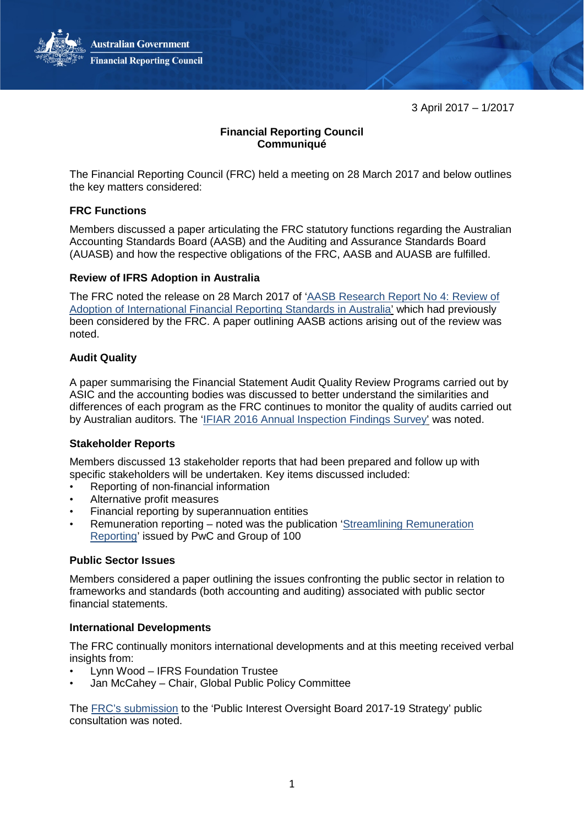3 April 2017 – 1/2017

# **Financial Reporting Council Communiqué**

The Financial Reporting Council (FRC) held a meeting on 28 March 2017 and below outlines the key matters considered:

## **FRC Functions**

Members discussed a paper articulating the FRC statutory functions regarding the Australian Accounting Standards Board (AASB) and the Auditing and Assurance Standards Board (AUASB) and how the respective obligations of the FRC, AASB and AUASB are fulfilled.

## **Review of IFRS Adoption in Australia**

The FRC noted the release on 28 March 2017 of ['AASB Research Report No 4: Review of](http://www.aasb.gov.au/admin/file/content102/c3/AASB_Review_of_IFRS_research_report_03-17.pdf)  [Adoption of International Financial Reporting Standards in Australia'](http://www.aasb.gov.au/admin/file/content102/c3/AASB_Review_of_IFRS_research_report_03-17.pdf) which had previously been considered by the FRC. A paper outlining AASB actions arising out of the review was noted.

## **Audit Quality**

A paper summarising the Financial Statement Audit Quality Review Programs carried out by ASIC and the accounting bodies was discussed to better understand the similarities and differences of each program as the FRC continues to monitor the quality of audits carried out by Australian auditors. The ['IFIAR 2016 Annual Inspection Findings Survey'](https://www.ifiar.org/IFIAR/media/Documents/IFIARMembersArea/PlenaryMeetings/September%202012%20(London)/2016-Inspections-Survey-Stakeholder-Announcement-final.pdf) was noted.

## **Stakeholder Reports**

Members discussed 13 stakeholder reports that had been prepared and follow up with specific stakeholders will be undertaken. Key items discussed included:

- Reporting of non-financial information
- Alternative profit measures
- Financial reporting by superannuation entities
- Remuneration reporting noted was the publication ['Streamlining Remuneration](http://www.pwc.com.au/assurance/ifrs/assets/straight-away-alerts-07dec16.pdf)  [Reporting'](http://www.pwc.com.au/assurance/ifrs/assets/straight-away-alerts-07dec16.pdf) issued by PwC and Group of 100

### **Public Sector Issues**

Members considered a paper outlining the issues confronting the public sector in relation to frameworks and standards (both accounting and auditing) associated with public sector financial statements.

### **International Developments**

The FRC continually monitors international developments and at this meeting received verbal insights from:

- Lynn Wood IFRS Foundation Trustee
- Jan McCahey Chair, Global Public Policy Committee

The [FRC's submission](https://cdn.tspace.gov.au/uploads/sites/46/2013/11/FRC_Submission_PIOB.pdf) to the 'Public Interest Oversight Board 2017-19 Strategy' public consultation was noted.